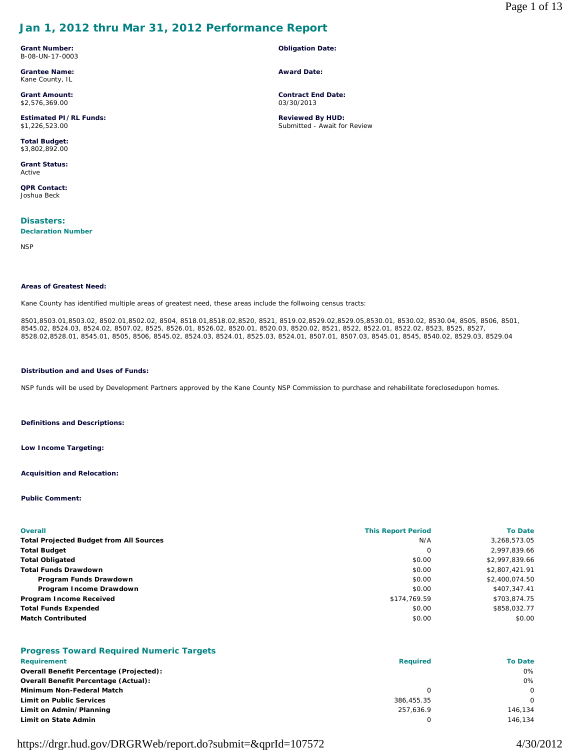# **Jan 1, 2012 thru Mar 31, 2012 Performance Report**

**Grant Number:** B-08-UN-17-0003

**Grantee Name:** Kane County, IL

**Grant Amount:** \$2,576,369.00

**Estimated PI/RL Funds:** \$1,226,523.00

**Total Budget:** \$3,802,892.00

**Grant Status:** Active

**QPR Contact:** Joshua Beck

**Disasters:** 

**Declaration Number**

**NSP** 

#### **Areas of Greatest Need:**

Kane County has identified multiple areas of greatest need, these areas include the follwoing census tracts:

8501,8503.01,8503.02, 8502.01,8502.02, 8504, 8518.01,8518.02,8520, 8521, 8519.02,8529.02,8529.05,8530.01, 8530.02, 8530.04, 8505, 8506, 8501, 8545.02, 8524.03, 8524.02, 8507.02, 8525, 8526.01, 8526.02, 8520.01, 8520.03, 8520.02, 8521, 8522, 8522.01, 8522.02, 8523, 8525, 8527, 8528.02,8528.01, 8545.01, 8505, 8506, 8545.02, 8524.03, 8524.01, 8525.03, 8524.01, 8507.01, 8507.03, 8545.01, 8545, 8540.02, 8529.03, 8529.04

#### **Distribution and and Uses of Funds:**

NSP funds will be used by Development Partners approved by the Kane County NSP Commission to purchase and rehabilitate foreclosedupon homes.

**Definitions and Descriptions:**

**Low Income Targeting:**

**Acquisition and Relocation:**

#### **Public Comment:**

| <b>Overall</b>                                 | <b>This Report Period</b> | <b>To Date</b> |
|------------------------------------------------|---------------------------|----------------|
| <b>Total Projected Budget from All Sources</b> | N/A                       | 3,268,573.05   |
| <b>Total Budget</b>                            | 0                         | 2,997,839.66   |
| <b>Total Obligated</b>                         | \$0.00                    | \$2,997,839.66 |
| <b>Total Funds Drawdown</b>                    | \$0.00                    | \$2,807,421.91 |
| Program Funds Drawdown                         | \$0.00                    | \$2,400,074.50 |
| Program Income Drawdown                        | \$0.00                    | \$407,347.41   |
| Program Income Received                        | \$174,769.59              | \$703.874.75   |
| <b>Total Funds Expended</b>                    | \$0.00                    | \$858.032.77   |
| <b>Match Contributed</b>                       | \$0.00                    | \$0.00         |

## **Progress Toward Required Numeric Targets**

| Requirement                                    | <b>Required</b> | To Date |
|------------------------------------------------|-----------------|---------|
| <b>Overall Benefit Percentage (Projected):</b> |                 | 0%      |
| <b>Overall Benefit Percentage (Actual):</b>    |                 | 0%      |
| Minimum Non-Federal Match                      |                 |         |
| <b>Limit on Public Services</b>                | 386,455.35      |         |
| Limit on Admin/Planning                        | 257.636.9       | 146.134 |
| Limit on State Admin                           |                 | 146.134 |

# https://drgr.hud.gov/DRGRWeb/report.do?submit=&qprId=107572 4/30/2012

## **Obligation Date:**

**Award Date:**

**Contract End Date:** 03/30/2013

**Reviewed By HUD:** Submitted - Await for Review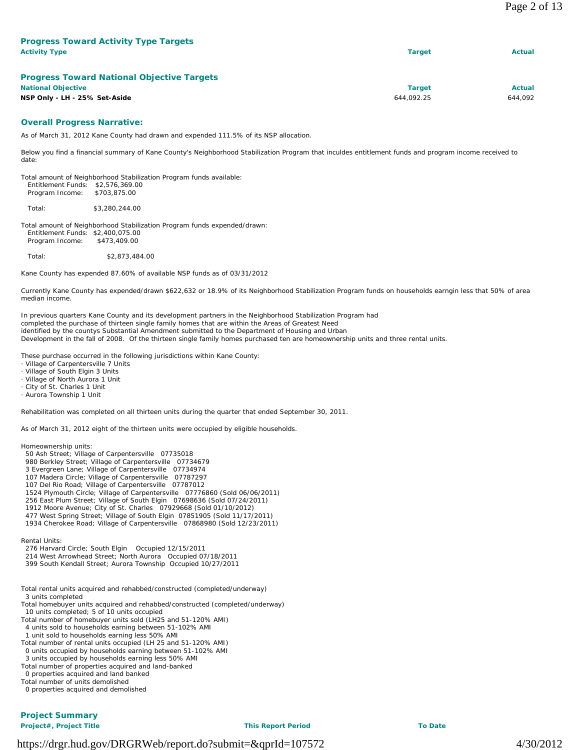| <b>Progress Toward Activity Type Targets</b><br><b>Activity Type</b> | <b>Target</b> | Actual  |
|----------------------------------------------------------------------|---------------|---------|
| <b>Progress Toward National Objective Targets</b>                    |               |         |
| <b>National Objective</b>                                            | <b>Target</b> | Actual  |
| NSP Only - LH - 25% Set-Aside                                        | 644.092.25    | 644.092 |

## **Overall Progress Narrative:**

As of March 31, 2012 Kane County had drawn and expended 111.5% of its NSP allocation.

Below you find a financial summary of Kane County's Neighborhood Stabilization Program that inculdes entitlement funds and program income received to date:

Total amount of Neighborhood Stabilization Program funds available: Entitlement Funds: \$2,576,369.00 Program Income: \$703,875.00

Total: \$3,280,244.00

Total amount of Neighborhood Stabilization Program funds expended/drawn: Entitlement Funds: \$2,400,075.00 Program Income: \$473,409.00

Total: \$2,873,484.00

Kane County has expended 87.60% of available NSP funds as of 03/31/2012

Currently Kane County has expended/drawn \$622,632 or 18.9% of its Neighborhood Stabilization Program funds on households earngin less that 50% of area median income.

In previous quarters Kane County and its development partners in the Neighborhood Stabilization Program had completed the purchase of thirteen single family homes that are within the Areas of Greatest Need identified by the countys Substantial Amendment submitted to the Department of Housing and Urban Development in the fall of 2008. Of the thirteen single family homes purchased ten are homeownership units and three rental units.

These purchase occurred in the following jurisdictions within Kane County:

- · Village of Carpentersville 7 Units
- Village of South Elgin 3 Units
- Village of North Aurora 1 Unit
- City of St. Charles 1 Unit
- · Aurora Township 1 Unit

Rehabilitation was completed on all thirteen units during the quarter that ended September 30, 2011.

As of March 31, 2012 eight of the thirteen units were occupied by eligible households.

Homeownership units:

- 50 Ash Street; Village of Carpentersville 07735018
- 980 Berkley Street; Village of Carpentersville 07734679
- 3 Evergreen Lane; Village of Carpentersville 07734974
- 107 Madera Circle; Village of Carpentersville 07787297 107 Del Rio Road; Village of Carpentersville 07787012
- 1524 Plymouth Circle; Village of Carpentersville 07776860 (Sold 06/06/2011)
- 256 East Plum Street; Village of South Elgin 07698636 (Sold 07/24/2011)
- 1912 Moore Avenue; City of St. Charles 07929668 (Sold 01/10/2012)
- 477 West Spring Street; Village of South Elgin 07851905 (Sold 11/17/2011)
- 1934 Cherokee Road; Village of Carpentersville 07868980 (Sold 12/23/2011)

Rental Units:

- 276 Harvard Circle; South Elgin Occupied 12/15/2011
- 214 West Arrowhead Street; North Aurora Occupied 07/18/2011
- 399 South Kendall Street; Aurora Township Occupied 10/27/2011
- Total rental units acquired and rehabbed/constructed (completed/underway) 3 units completed
- Total homebuyer units acquired and rehabbed/constructed (completed/underway) 10 units completed; 5 of 10 units occupied
- Total number of homebuyer units sold (LH25 and 51-120% AMI)
- 4 units sold to households earning between 51-102% AMI
- 1 unit sold to households earning less 50% AMI
- Total number of rental units occupied (LH 25 and 51-120% AMI) 0 units occupied by households earning between 51-102% AMI 3 units occupied by households earning less 50% AMI
- Total number of properties acquired and land-banked
- 0 properties acquired and land banked
- Total number of units demolished

0 properties acquired and demolished

# **Project Summary**

**Project#, Project Title This Report Period To Date**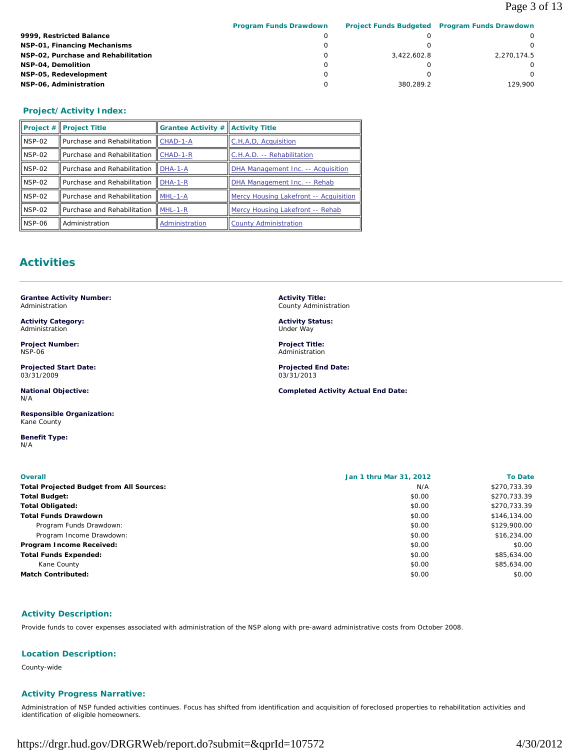# Page 3 of 13

|                                     | <b>Program Funds Drawdown</b> |             | Project Funds Budgeted Program Funds Drawdown |
|-------------------------------------|-------------------------------|-------------|-----------------------------------------------|
| 9999, Restricted Balance            |                               |             |                                               |
| NSP-01, Financing Mechanisms        |                               |             |                                               |
| NSP-02, Purchase and Rehabilitation |                               | 3.422.602.8 | 2.270.174.5                                   |
| NSP-04, Demolition                  |                               |             |                                               |
| NSP-05, Redevelopment               |                               |             |                                               |
| NSP-06, Administration              |                               | 380.289.2   | 129.900                                       |

# **Project/Activity Index:**

|            | $\ $ Project $\#$   Project Title | <b>Grantee Activity #</b> | <b>Activity Title</b>                  |
|------------|-----------------------------------|---------------------------|----------------------------------------|
| ll NSP-02  | Purchase and Rehabilitation       | CHAD-1-A                  | C.H.A.D. Acquisition                   |
| $I$ NSP-02 | Purchase and Rehabilitation       | $CHAD-1-R$                | C.H.A.D. -- Rehabilitation             |
| $I$ NSP-02 | Purchase and Rehabilitation       | $DHA-1-A$                 | DHA Management Inc. -- Acquisition     |
| $I$ NSP-02 | Purchase and Rehabilitation       | DHA-1-R                   | DHA Management Inc. -- Rehab           |
| $I$ NSP-02 | Purchase and Rehabilitation       | $IMHL-1-A$                | Mercy Housing Lakefront -- Acquisition |
| ll NSP-02  | Purchase and Rehabilitation       | $MHL-1-R$                 | Mercy Housing Lakefront -- Rehab       |
| ll NSP-06  | Administration                    | Administration            | <b>County Administration</b>           |

# **Activities**

**Grantee Activity Number:** Administration

**Activity Category:** Administration

**Project Number:** NSP-06

**Projected Start Date:** 03/31/2009

**National Objective:** N/A

**Responsible Organization:** Kane County

**Benefit Type:**  N/A

**Activity Title:** County Administration

**Activity Status:** Under Way

**Project Title:** Administration

**Projected End Date:** 03/31/2013

**Completed Activity Actual End Date:**

| <b>Overall</b>                                  | Jan 1 thru Mar 31, 2012<br><b>To Date</b> |              |
|-------------------------------------------------|-------------------------------------------|--------------|
| <b>Total Projected Budget from All Sources:</b> | N/A                                       | \$270,733.39 |
| <b>Total Budget:</b>                            | \$0.00                                    | \$270,733.39 |
| <b>Total Obligated:</b>                         | \$0.00                                    | \$270,733.39 |
| <b>Total Funds Drawdown</b>                     | \$0.00                                    | \$146,134.00 |
| Program Funds Drawdown:                         | \$0.00                                    | \$129,900.00 |
| Program Income Drawdown:                        | \$0.00                                    | \$16,234.00  |
| Program Income Received:                        | \$0.00                                    | \$0.00       |
| <b>Total Funds Expended:</b>                    | \$0.00                                    | \$85,634.00  |
| Kane County                                     | \$0.00                                    | \$85,634.00  |
| <b>Match Contributed:</b>                       | \$0.00                                    | \$0.00       |

## **Activity Description:**

Provide funds to cover expenses associated with administration of the NSP along with pre-award administrative costs from October 2008.

## **Location Description:**

County-wide

## **Activity Progress Narrative:**

Administration of NSP funded activities continues. Focus has shifted from identification and acquisition of foreclosed properties to rehabilitation activities and identification of eligible homeowners.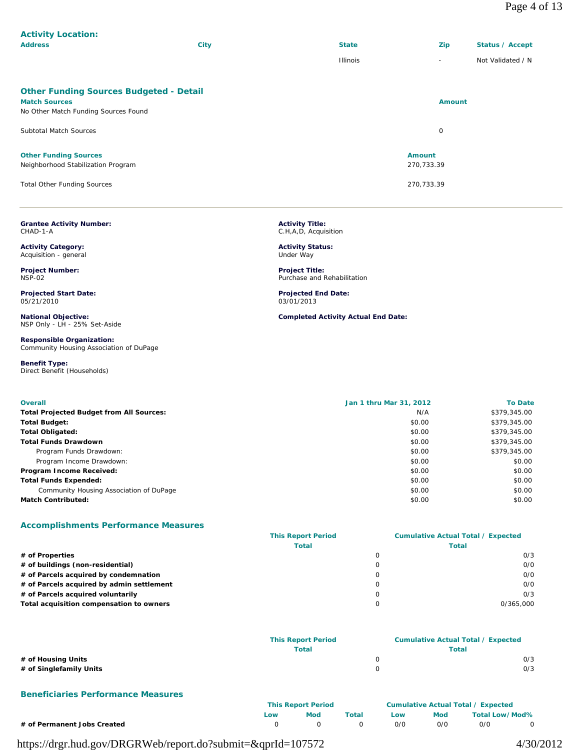| <b>Address</b>                                                                                                 | City | <b>State</b>                | <b>Zip</b>               | <b>Status / Accept</b> |
|----------------------------------------------------------------------------------------------------------------|------|-----------------------------|--------------------------|------------------------|
|                                                                                                                |      | <b>Illinois</b>             | $\overline{\phantom{a}}$ | Not Validated / N      |
| <b>Other Funding Sources Budgeted - Detail</b><br><b>Match Sources</b><br>No Other Match Funding Sources Found |      |                             | <b>Amount</b>            |                        |
| <b>Subtotal Match Sources</b>                                                                                  |      |                             | 0                        |                        |
| <b>Other Funding Sources</b><br>Neighborhood Stabilization Program                                             |      | <b>Amount</b><br>270,733.39 |                          |                        |
| <b>Total Other Funding Sources</b>                                                                             |      | 270,733.39                  |                          |                        |

| <b>Grantee Activity Number:</b> |  |
|---------------------------------|--|
| CHAD-1-A                        |  |

**Activity Location:** 

**Activity Category:** Acquisition - general

**Project Number:** NSP-02

**Projected Start Date:** 05/21/2010

**National Objective:** NSP Only - LH - 25% Set-Aside

**Responsible Organization:** Community Housing Association of DuPage

**Benefit Type:**  Direct Benefit (Households)

| <b>Activity Title:</b> |                      |  |
|------------------------|----------------------|--|
|                        | C.H,A,D, Acquisition |  |

**Activity Status:** Under Way

**Project Title:** Purchase and Rehabilitation

**Projected End Date:** 03/01/2013

**Completed Activity Actual End Date:**

| <b>Overall</b>                                  | Jan 1 thru Mar 31, 2012 | <b>To Date</b> |
|-------------------------------------------------|-------------------------|----------------|
| <b>Total Projected Budget from All Sources:</b> | N/A                     | \$379,345.00   |
| <b>Total Budget:</b>                            | \$0.00                  | \$379,345.00   |
| <b>Total Obligated:</b>                         | \$0.00                  | \$379,345.00   |
| <b>Total Funds Drawdown</b>                     | \$0.00                  | \$379,345.00   |
| Program Funds Drawdown:                         | \$0.00                  | \$379,345.00   |
| Program Income Drawdown:                        | \$0.00                  | \$0.00         |
| Program Income Received:                        | \$0.00                  | \$0.00         |
| <b>Total Funds Expended:</b>                    | \$0.00                  | \$0.00         |
| Community Housing Association of DuPage         | \$0.00                  | \$0.00         |
| <b>Match Contributed:</b>                       | \$0.00                  | \$0.00         |

## **Accomplishments Performance Measures**

|                                           | <b>This Report Period</b> | <b>Cumulative Actual Total / Expected</b> |
|-------------------------------------------|---------------------------|-------------------------------------------|
|                                           | <b>Total</b>              | Total                                     |
| # of Properties                           |                           | O/3                                       |
| # of buildings (non-residential)          |                           | O/O                                       |
| # of Parcels acquired by condemnation     |                           | 0/0                                       |
| # of Parcels acquired by admin settlement |                           | 0/0                                       |
| # of Parcels acquired voluntarily         |                           | 0/3                                       |
| Total acquisition compensation to owners  |                           | 0/365.000                                 |

|                         | <b>This Report Period</b> | <b>Cumulative Actual Total / Expected</b> |  |
|-------------------------|---------------------------|-------------------------------------------|--|
|                         | <b>Total</b>              | Total                                     |  |
| # of Housing Units      |                           | 0/3                                       |  |
| # of Singlefamily Units |                           | 0/3                                       |  |

#### **Beneficiaries Performance Measures**

|                             | <b>This Report Period</b> |     |       | <b>Cumulative Actual Total / Expected</b> |     |                |  |
|-----------------------------|---------------------------|-----|-------|-------------------------------------------|-----|----------------|--|
|                             | LOW                       | Mod | Total | Low                                       | Mod | Total Low/Mod% |  |
| # of Permanent Jobs Created |                           |     |       | O/O                                       | 0/0 | 0/0            |  |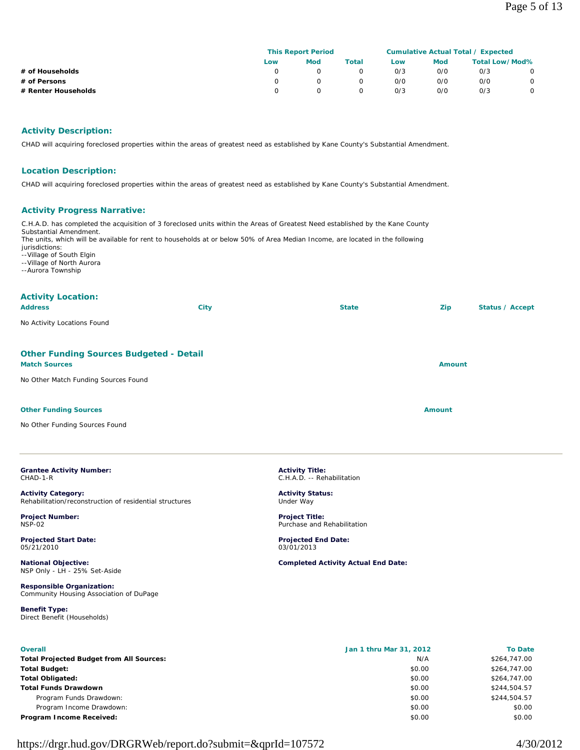|                     | <b>This Report Period</b> |            |          | <b>Cumulative Actual Total / Expected</b> |            |                       |         |
|---------------------|---------------------------|------------|----------|-------------------------------------------|------------|-----------------------|---------|
|                     | Low                       | <b>Mod</b> | Total    | Low                                       | <b>Mod</b> | <b>Total Low/Mod%</b> |         |
| # of Households     |                           |            |          | 0/3                                       | 0/0        | O/3                   |         |
| # of Persons        |                           |            | $\Omega$ | O/O                                       | 0/0        | 0/0                   | $\circ$ |
| # Renter Households |                           |            |          | O/3                                       | 0/0        | O/3                   |         |

## **Activity Description:**

CHAD will acquiring foreclosed properties within the areas of greatest need as established by Kane County's Substantial Amendment.

#### **Location Description:**

CHAD will acquiring foreclosed properties within the areas of greatest need as established by Kane County's Substantial Amendment.

#### **Activity Progress Narrative:**

C.H.A.D. has completed the acquisition of 3 foreclosed units within the Areas of Greatest Need established by the Kane County Substantial Amendment. The units, which will be available for rent to households at or below 50% of Area Median Income, are located in the following jurisdictions: --Village of South Elgin --Village of North Aurora --Aurora Township

## **Activity Location:**

| <b>Address</b>                                               | <b>City</b> | <b>State</b> | Zip           | Status / Accept |
|--------------------------------------------------------------|-------------|--------------|---------------|-----------------|
| No Activity Locations Found                                  |             |              |               |                 |
| <b>Other Funding Sources Budgeted - Detail</b>               |             |              |               |                 |
| <b>Match Sources</b><br>No Other Match Funding Sources Found |             |              | <b>Amount</b> |                 |
|                                                              |             |              |               |                 |

#### **Other Funding Sources Amount Amount Amount Amount Amount Amount**

No Other Funding Sources Found

#### **Grantee Activity Number:** CHAD-1-R

**Activity Category:** Rehabilitation/reconstruction of residential structures

**Project Number:** NSP-02

**Projected Start Date:** 05/21/2010

**National Objective:** NSP Only - LH - 25% Set-Aside

**Responsible Organization:** Community Housing Association of DuPage

**Benefit Type:**  Direct Benefit (Households)

**Activity Title:** C.H.A.D. -- Rehabilitation

**Activity Status:** Under Way

**Project Title:** Purchase and Rehabilitation

**Projected End Date:** 03/01/2013

**Completed Activity Actual End Date:**

| <b>Overall</b>                                  | Jan 1 thru Mar 31, 2012 | <b>To Date</b> |
|-------------------------------------------------|-------------------------|----------------|
| <b>Total Projected Budget from All Sources:</b> | N/A                     | \$264,747.00   |
| Total Budget:                                   | \$0.00                  | \$264,747.00   |
| Total Obligated:                                | \$0.00                  | \$264,747.00   |
| Total Funds Drawdown                            | \$0.00                  | \$244,504.57   |
| Program Funds Drawdown:                         | \$0.00                  | \$244,504.57   |
| Program Income Drawdown:                        | \$0.00                  | \$0.00         |
| Program Income Received:                        | \$0.00                  | \$0.00         |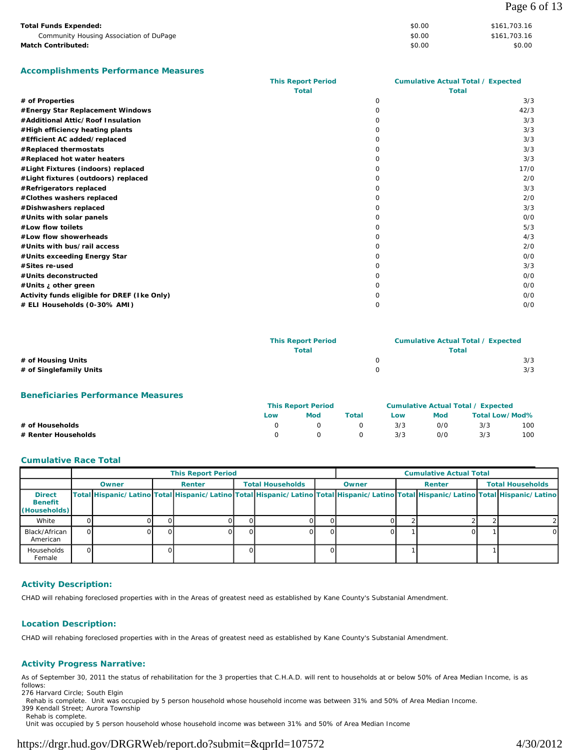| <b>Total Funds Expended:</b>            | \$0.00 | \$161,703.16 |
|-----------------------------------------|--------|--------------|
| Community Housing Association of DuPage | \$0.00 | \$161,703.16 |
| <b>Match Contributed:</b>               | \$0.00 | \$0.00       |

**Accomplishments Performance Measures**

|                                             | <b>This Report Period</b> | <b>Cumulative Actual Total / Expected</b> |      |
|---------------------------------------------|---------------------------|-------------------------------------------|------|
|                                             | <b>Total</b>              | <b>Total</b>                              |      |
| # of Properties                             |                           | $\Omega$                                  | 3/3  |
| #Energy Star Replacement Windows            |                           | 0                                         | 42/3 |
| #Additional Attic/Roof Insulation           |                           | 0                                         | 3/3  |
| #High efficiency heating plants             |                           | <sup>o</sup>                              | 3/3  |
| #Efficient AC added/replaced                |                           | $\Omega$                                  | 3/3  |
| #Replaced thermostats                       |                           | $\Omega$                                  | 3/3  |
| #Replaced hot water heaters                 |                           | <sup>o</sup>                              | 3/3  |
| #Light Fixtures (indoors) replaced          |                           | <sup>o</sup>                              | 17/0 |
| #Light fixtures (outdoors) replaced         |                           | <sup>o</sup>                              | 2/0  |
| #Refrigerators replaced                     |                           | $\Omega$                                  | 3/3  |
| #Clothes washers replaced                   |                           | <sup>o</sup>                              | 2/0  |
| #Dishwashers replaced                       |                           | <sup>o</sup>                              | 3/3  |
| #Units with solar panels                    |                           | <sup>o</sup>                              | O/O  |
| #Low flow toilets                           |                           | $\Omega$                                  | 5/3  |
| #Low flow showerheads                       |                           | $\Omega$                                  | 4/3  |
| #Units with bus/rail access                 |                           | <sup>o</sup>                              | 2/0  |
| #Units exceeding Energy Star                |                           | $\Omega$                                  | O/O  |
| #Sites re-used                              |                           | <sup>n</sup>                              | 3/3  |
| #Units deconstructed                        |                           | <sup>o</sup>                              | O/O  |
| #Units ¿ other green                        |                           | O                                         | O/O  |
| Activity funds eligible for DREF (Ike Only) |                           | O                                         | O/O  |
| # ELI Households (0-30% AMI)                |                           | 0                                         | O/O  |

|                         | <b>This Report Period</b> | <b>Cumulative Actual Total / Expected</b> |     |  |
|-------------------------|---------------------------|-------------------------------------------|-----|--|
|                         | Total                     | Total                                     |     |  |
| # of Housing Units      |                           |                                           | 3/3 |  |
| # of Singlefamily Units |                           |                                           | 3/3 |  |

## **Beneficiaries Performance Measures**

|                     | <b>This Report Period</b> |          |          | Cumulative Actual Total / Expected |     |                |     |
|---------------------|---------------------------|----------|----------|------------------------------------|-----|----------------|-----|
|                     | Low                       | Mod      | Total    | Low                                | Mod | Total Low/Mod% |     |
| # of Households     |                           | $\Omega$ | $\Omega$ | 3/3                                | O/C | 3/3            | 100 |
| # Renter Households |                           | n.       | $\Omega$ | 3/3                                | 0/0 | 3/3            | 100 |

## **Cumulative Race Total**

|                                                 | <b>This Report Period</b> |       |  |        |    |                         | <b>Cumulative Actual Total</b> |                                                                                                                                     |  |        |  |                         |
|-------------------------------------------------|---------------------------|-------|--|--------|----|-------------------------|--------------------------------|-------------------------------------------------------------------------------------------------------------------------------------|--|--------|--|-------------------------|
|                                                 |                           | Owner |  | Renter |    | <b>Total Households</b> |                                | Owner                                                                                                                               |  | Renter |  | <b>Total Households</b> |
| <b>Direct</b><br><b>Benefit</b><br>(Households) |                           |       |  |        |    |                         |                                | Total Hispanic/Latino Total Hispanic/Latino Total Hispanic/Latino Total Hispanic/Latino Total Hispanic/Latino Total Hispanic/Latino |  |        |  |                         |
| White                                           |                           |       |  |        |    |                         |                                |                                                                                                                                     |  |        |  |                         |
| Black/African<br>American                       |                           |       |  |        | ΩI |                         |                                |                                                                                                                                     |  |        |  | $\Omega$                |
| Households<br>Female                            | O.                        |       |  |        |    |                         |                                |                                                                                                                                     |  |        |  |                         |

## **Activity Description:**

CHAD will rehabing foreclosed properties with in the Areas of greatest need as established by Kane County's Substanial Amendment.

## **Location Description:**

CHAD will rehabing foreclosed properties with in the Areas of greatest need as established by Kane County's Substanial Amendment.

## **Activity Progress Narrative:**

As of September 30, 2011 the status of rehabilitation for the 3 properties that C.H.A.D. will rent to households at or below 50% of Area Median Income, is as follows:

276 Harvard Circle; South Elgin

Rehab is complete. Unit was occupied by 5 person household whose household income was between 31% and 50% of Area Median Income.

399 Kendall Street; Aurora Township Rehab is complete.

Unit was occupied by 5 person household whose household income was between 31% and 50% of Area Median Income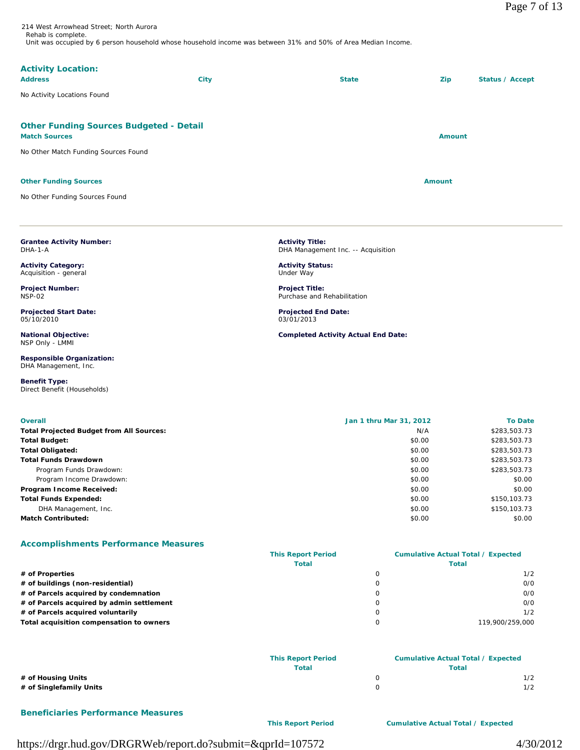214 West Arrowhead Street; North Aurora Rehab is complete. Unit was occupied by 6 person household whose household income was between 31% and 50% of Area Median Income.

## **Activity Location:**

| <b>Address</b>                                                         | <b>City</b> | <b>State</b> | Zip           | Status / Accept |
|------------------------------------------------------------------------|-------------|--------------|---------------|-----------------|
| No Activity Locations Found                                            |             |              |               |                 |
| <b>Other Funding Sources Budgeted - Detail</b><br><b>Match Sources</b> |             |              | <b>Amount</b> |                 |
| No Other Match Funding Sources Found                                   |             |              |               |                 |
| <b>Other Funding Sources</b>                                           |             |              | <b>Amount</b> |                 |

No Other Funding Sources Found

**Grantee Activity Number:**

**Activity Category:** Acquisition - general **Project Number:** NSP-02

**Projected Start Date:**

**National Objective:** NSP Only - LMMI

**Responsible Organization:** DHA Management, Inc.

Direct Benefit (Households)

DHA-1-A

05/10/2010

**Benefit Type:** 

**Activity Title:** DHA Management Inc. -- Acquisition

**Activity Status:** Under Way

**Project Title:** Purchase and Rehabilitation

**Projected End Date:** 03/01/2013

**Completed Activity Actual End Date:**

| <b>Overall</b>                                  | Jan 1 thru Mar 31, 2012 | <b>To Date</b> |
|-------------------------------------------------|-------------------------|----------------|
| <b>Total Projected Budget from All Sources:</b> | N/A                     | \$283,503.73   |
| <b>Total Budget:</b>                            | \$0.00                  | \$283,503.73   |
| <b>Total Obligated:</b>                         | \$0.00                  | \$283,503.73   |
| <b>Total Funds Drawdown</b>                     | \$0.00                  | \$283,503.73   |
| Program Funds Drawdown:                         | \$0.00                  | \$283,503.73   |
| Program Income Drawdown:                        | \$0.00                  | \$0.00         |
| Program Income Received:                        | \$0.00                  | \$0.00         |
| <b>Total Funds Expended:</b>                    | \$0.00                  | \$150,103.73   |
| DHA Management, Inc.                            | \$0.00                  | \$150,103.73   |
| <b>Match Contributed:</b>                       | \$0.00                  | \$0.00         |

## **Accomplishments Performance Measures**

|                                           | <b>This Report Period</b> |              | <b>Cumulative Actual Total / Expected</b> |  |
|-------------------------------------------|---------------------------|--------------|-------------------------------------------|--|
|                                           | <b>Total</b>              | <b>Total</b> |                                           |  |
| # of Properties                           |                           | $\Omega$     | 1/2                                       |  |
| # of buildings (non-residential)          |                           | 0            | O/O                                       |  |
| # of Parcels acquired by condemnation     |                           | 0            | 0/0                                       |  |
| # of Parcels acquired by admin settlement |                           | $\mathbf 0$  | O/O                                       |  |
| # of Parcels acquired voluntarily         |                           | 0            | 1/2                                       |  |
| Total acquisition compensation to owners  |                           | $\circ$      | 119.900/259.000                           |  |
|                                           |                           |              |                                           |  |

|                         | <b>This Report Period</b> | <b>Cumulative Actual Total / Expected</b> |       |  |
|-------------------------|---------------------------|-------------------------------------------|-------|--|
|                         | Total                     |                                           | Total |  |
| # of Housing Units      |                           |                                           | 1/2   |  |
| # of Singlefamily Units |                           |                                           | 1/2   |  |

## **Beneficiaries Performance Measures**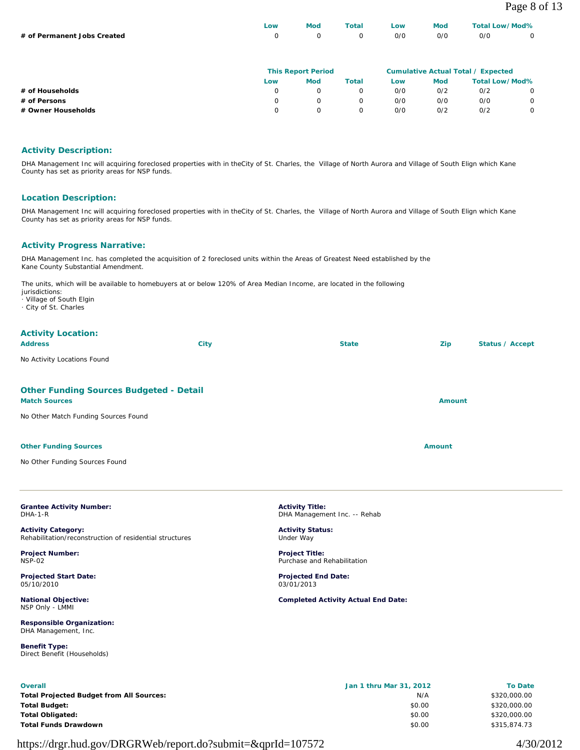|                             | LOW | <b>Mod</b> | Total | Low | <b>Mod</b> | Total Low/Mod% |  |
|-----------------------------|-----|------------|-------|-----|------------|----------------|--|
| # of Permanent Jobs Created |     | $\cap$     |       | 0/0 | 0/0        | 0/0            |  |
|                             |     |            |       |     |            |                |  |

|                    | <b>This Report Period</b> |            |       |     | <b>Cumulative Actual Total / Expected</b> |                       |   |  |
|--------------------|---------------------------|------------|-------|-----|-------------------------------------------|-----------------------|---|--|
|                    | Low                       | <b>Mod</b> | Total | Low | <b>Mod</b>                                | <b>Total Low/Mod%</b> |   |  |
| # of Households    |                           |            |       | 0/0 | 0/2                                       | 0/2                   |   |  |
| # of Persons       |                           |            |       | 0/0 | 0/0                                       | 0/0                   | 0 |  |
| # Owner Households |                           |            |       | 0/0 | O/2                                       | 0/2                   |   |  |

## **Activity Description:**

DHA Management Inc will acquiring foreclosed properties with in theCity of St. Charles, the Village of North Aurora and Village of South Elign which Kane County has set as priority areas for NSP funds.

## **Location Description:**

DHA Management Inc will acquiring foreclosed properties with in theCity of St. Charles, the Village of North Aurora and Village of South Elign which Kane County has set as priority areas for NSP funds.

## **Activity Progress Narrative:**

DHA Management Inc. has completed the acquisition of 2 foreclosed units within the Areas of Greatest Need established by the Kane County Substantial Amendment.

The units, which will be available to homebuyers at or below 120% of Area Median Income, are located in the following

jurisdictions:

· Village of South Elgin

· City of St. Charles

## **Activity Location:**

| <b>Address</b>                                                         | <b>City</b> | <b>State</b> | Zip           | Status / Accept |
|------------------------------------------------------------------------|-------------|--------------|---------------|-----------------|
| No Activity Locations Found                                            |             |              |               |                 |
|                                                                        |             |              |               |                 |
| <b>Other Funding Sources Budgeted - Detail</b><br><b>Match Sources</b> |             |              | <b>Amount</b> |                 |
| No Other Match Funding Sources Found                                   |             |              |               |                 |
|                                                                        |             |              |               |                 |
| <b>Other Funding Sources</b>                                           |             |              | <b>Amount</b> |                 |
| No Other Funding Sources Found                                         |             |              |               |                 |

**Grantee Activity Number:** DHA-1-R

**Activity Category:** Rehabilitation/reconstruction of residential structures

**Project Number:** NSP-02

**Projected Start Date:** 05/10/2010

**National Objective:** NSP Only - LMMI

**Responsible Organization:** DHA Management, Inc.

**Benefit Type:**  Direct Benefit (Households) **Activity Title:** DHA Management Inc. -- Rehab

**Activity Status:** Under Way

**Project Title:** Purchase and Rehabilitation

**Projected End Date:** 03/01/2013

**Completed Activity Actual End Date:**

| <b>Overall</b>                                  | Jan 1 thru Mar 31, 2012 | <b>To Date</b> |
|-------------------------------------------------|-------------------------|----------------|
| <b>Total Projected Budget from All Sources:</b> | N/A                     | \$320,000.00   |
| <b>Total Budget:</b>                            | \$0.00                  | \$320,000.00   |
| <b>Total Obligated:</b>                         | \$0.00                  | \$320,000.00   |
| <b>Total Funds Drawdown</b>                     | \$0.00                  | \$315,874.73   |
|                                                 |                         |                |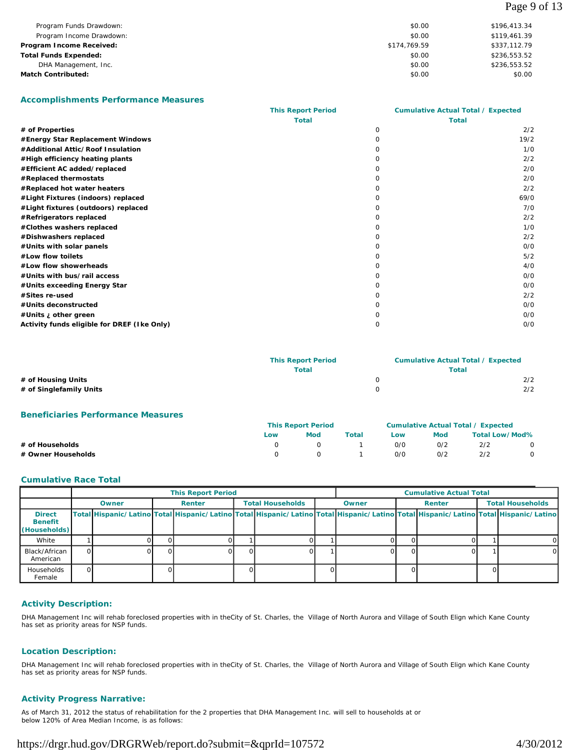| Page | 9 of 13 |  |
|------|---------|--|
|------|---------|--|

| Program Funds Drawdown:      | \$0.00       | \$196,413.34 |
|------------------------------|--------------|--------------|
| Program Income Drawdown:     | \$0.00       | \$119,461.39 |
| Program Income Received:     | \$174,769.59 | \$337,112.79 |
| <b>Total Funds Expended:</b> | \$0.00       | \$236,553.52 |
| DHA Management, Inc.         | \$0.00       | \$236,553.52 |
| <b>Match Contributed:</b>    | \$0.00       | \$0.00       |

#### **Accomplishments Performance Measures**

|                                             | <b>This Report Period</b> | <b>Cumulative Actual Total / Expected</b> |      |  |
|---------------------------------------------|---------------------------|-------------------------------------------|------|--|
|                                             | <b>Total</b>              | <b>Total</b>                              |      |  |
| # of Properties                             |                           | 0                                         | 2/2  |  |
| #Energy Star Replacement Windows            |                           | <sup>n</sup>                              | 19/2 |  |
| #Additional Attic/Roof Insulation           |                           |                                           | 1/0  |  |
| #High efficiency heating plants             |                           | O.                                        | 2/2  |  |
| #Efficient AC added/replaced                |                           |                                           | 2/0  |  |
| #Replaced thermostats                       |                           |                                           | 2/0  |  |
| #Replaced hot water heaters                 |                           | O                                         | 2/2  |  |
| #Light Fixtures (indoors) replaced          |                           | O                                         | 69/0 |  |
| #Light fixtures (outdoors) replaced         |                           |                                           | 7/0  |  |
| #Refrigerators replaced                     |                           | n                                         | 2/2  |  |
| #Clothes washers replaced                   |                           | n                                         | 1/0  |  |
| #Dishwashers replaced                       |                           | O                                         | 2/2  |  |
| #Units with solar panels                    |                           |                                           | O/O  |  |
| #Low flow toilets                           |                           |                                           | 5/2  |  |
| #Low flow showerheads                       |                           | O                                         | 4/0  |  |
| #Units with bus/rail access                 |                           | O                                         | O/O  |  |
| #Units exceeding Energy Star                |                           |                                           | O/O  |  |
| #Sites re-used                              |                           | n                                         | 2/2  |  |
| #Units deconstructed                        |                           |                                           | O/O  |  |
| #Units <i>i</i> other green                 |                           |                                           | 0/0  |  |
| Activity funds eligible for DREF (Ike Only) |                           | 0                                         | 0/0  |  |

|                         | <b>This Report Period</b> | <b>Cumulative Actual Total / Expected</b> |       |  |
|-------------------------|---------------------------|-------------------------------------------|-------|--|
|                         | Total                     |                                           | Total |  |
| # of Housing Units      |                           |                                           | 2/2   |  |
| # of Singlefamily Units |                           |                                           | 2/2   |  |
|                         |                           |                                           |       |  |

#### **Beneficiaries Performance Measures**

|                    |     | <b>This Report Period</b> |       |            |            | Cumulative Actual Total / Expected |  |  |  |  |
|--------------------|-----|---------------------------|-------|------------|------------|------------------------------------|--|--|--|--|
|                    | Low | Mod                       | Total | Low<br>O/O | Mod<br>O/2 | Total Low/Mod%                     |  |  |  |  |
| # of Households    |     |                           |       |            |            | 2/2                                |  |  |  |  |
| # Owner Households |     |                           |       | 0/0        | O/2        | 2/2                                |  |  |  |  |

#### **Cumulative Race Total**

|                                                 | <b>This Report Period</b> |       |  |        |  |                         | <b>Cumulative Actual Total</b> |       |                                   |  |  |                                                                                                                                     |
|-------------------------------------------------|---------------------------|-------|--|--------|--|-------------------------|--------------------------------|-------|-----------------------------------|--|--|-------------------------------------------------------------------------------------------------------------------------------------|
|                                                 |                           | Owner |  | Renter |  | <b>Total Households</b> |                                | Owner | <b>Total Households</b><br>Renter |  |  |                                                                                                                                     |
| <b>Direct</b><br><b>Benefit</b><br>(Households) |                           |       |  |        |  |                         |                                |       |                                   |  |  | Total Hispanic/Latino Total Hispanic/Latino Total Hispanic/Latino Total Hispanic/Latino Total Hispanic/Latino Total Hispanic/Latino |
| White                                           |                           |       |  |        |  |                         |                                |       |                                   |  |  |                                                                                                                                     |
| Black/African<br>American                       | ∩।                        |       |  |        |  |                         |                                |       |                                   |  |  |                                                                                                                                     |
| <b>Households</b><br>Female                     |                           |       |  |        |  |                         |                                |       |                                   |  |  |                                                                                                                                     |

## **Activity Description:**

DHA Management Inc will rehab foreclosed properties with in theCity of St. Charles, the Village of North Aurora and Village of South Elign which Kane County has set as priority areas for NSP funds.

#### **Location Description:**

DHA Management Inc will rehab foreclosed properties with in theCity of St. Charles, the Village of North Aurora and Village of South Elign which Kane County has set as priority areas for NSP funds.

## **Activity Progress Narrative:**

As of March 31, 2012 the status of rehabilitation for the 2 properties that DHA Management Inc. will sell to households at or below 120% of Area Median Income, is as follows: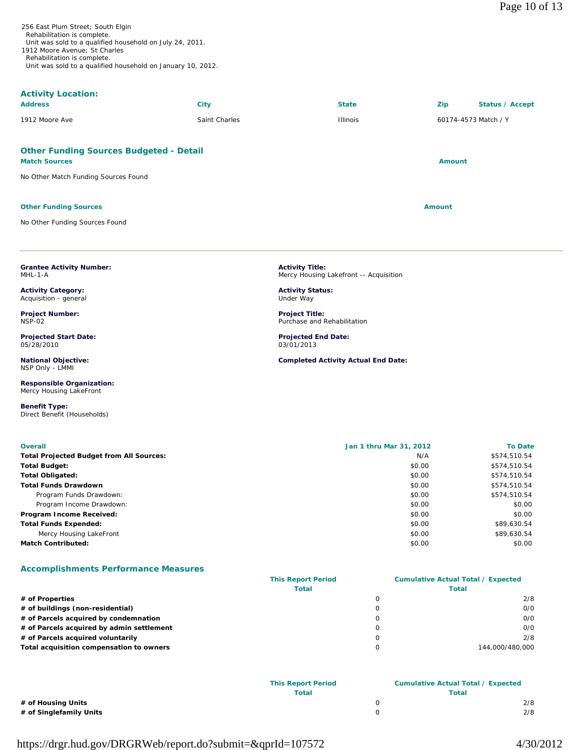| 256 East Plum Street; South Elgin                           |
|-------------------------------------------------------------|
| Rehabilitation is complete.                                 |
| Unit was sold to a qualified household on July 24, 2011.    |
| 1912 Moore Avenue: St Charles                               |
| Rehabilitation is complete.                                 |
| Unit was sold to a qualified household on January 10, 2012. |

# **Activity Location:**

| <b>Address</b> | City          | <b>State</b>    | Zip                  | Status / Accept |
|----------------|---------------|-----------------|----------------------|-----------------|
| 1912 Moore Ave | Saint Charles | <b>Illinois</b> | 60174-4573 Match / Y |                 |

## **Other Funding Sources Budgeted - Detail**

#### **Match Sources Amount**

No Other Match Funding Sources Found

#### **Other Funding Sources Amount Amount Amount Amount Amount Amount Amount**

**Grantee Activity Number:**

**Activity Category:** Acquisition - general **Project Number:**

**Projected Start Date:**

**National Objective:** NSP Only - LMMI

**Responsible Organization:** Mercy Housing LakeFront

Direct Benefit (Households)

MHL-1-A

NSP-02

05/28/2010

**Benefit Type:** 

No Other Funding Sources Found

**Activity Title:** Mercy Housing Lakefront -- Acquisition

**Activity Status:** Under Way

**Project Title:** Purchase and Rehabilitation

**Projected End Date:** 03/01/2013

**Completed Activity Actual End Date:**

**Overall Jan 1 thru Mar 31, 2012 To Date Total Projected Budget from All Sources:** N/A \$574,510.54 **Total Budget:** \$0.00 \$574,510.54 **Total Obligated:** \$574,510.54 \$6.00 \$574,510.54 **Total Funds Drawdown**  $$574,510.54$ Program Funds Drawdown: **\$574,510.54** \$0.00 \$574,510.54 Program Income Drawdown: \$0.00 \$0.00 \$0.00 \$0.00 \$0.00 \$0.00 \$0.00 \$0.00 \$0.00 \$0.00 \$1.00 \$1.00 \$1.00 \$1.00 \$1.00 \$1.00 \$1.00 \$1.00 \$1.00 \$1.00 \$1.00 \$1.00 \$1.00 \$1.00 \$1.00 \$1.00 \$1.00 \$1.00 \$1.00 \$1.00 \$1.00 \$1.00 \$1.00 **Program Income Received:**  $$0.00$   $$0.00$ **Total Funds Expended:**  $$89,630.54$ Mercy Housing LakeFront \$89,630.54 \$89,630.54 **Match Contributed:**  $$0.00$   $$0.00$ 

## **Accomplishments Performance Measures**

|                                           | <b>This Report Period</b> | <b>Cumulative Actual Total / Expected</b> |
|-------------------------------------------|---------------------------|-------------------------------------------|
|                                           | <b>Total</b>              | Total                                     |
| # of Properties                           |                           | 2/8                                       |
| # of buildings (non-residential)          |                           | O/O                                       |
| # of Parcels acquired by condemnation     |                           | O/O                                       |
| # of Parcels acquired by admin settlement |                           | 0/0                                       |
| # of Parcels acquired voluntarily         |                           | 2/8                                       |
| Total acquisition compensation to owners  |                           | 144.000/480.000                           |

|                         | <b>This Report Period</b> | <b>Cumulative Actual Total / Expected</b> |     |  |
|-------------------------|---------------------------|-------------------------------------------|-----|--|
|                         | Total                     | Total                                     |     |  |
| # of Housing Units      |                           |                                           | 2/8 |  |
| # of Singlefamily Units |                           |                                           | 2/8 |  |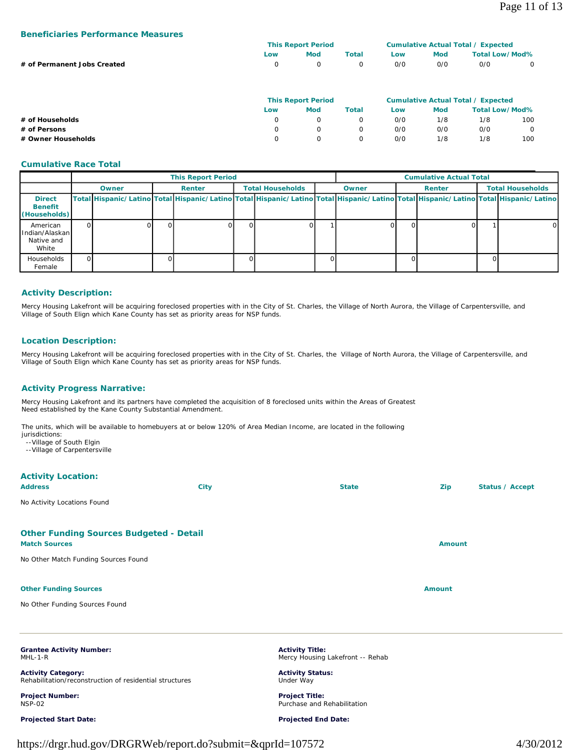#### **Beneficiaries Performance Measures**

|                             |                            | <b>This Report Period</b>                                                            |     | <b>Cumulative Actual Total / Expected</b> |  |                                                                                               |  |
|-----------------------------|----------------------------|--------------------------------------------------------------------------------------|-----|-------------------------------------------|--|-----------------------------------------------------------------------------------------------|--|
|                             | Mod<br>Total<br>Low<br>Low |                                                                                      |     | <b>Total Low/Mod%</b><br>Mod              |  |                                                                                               |  |
| # of Permanent Jobs Created | O.                         |                                                                                      | 0   | O/O<br>O/O<br>0/0                         |  |                                                                                               |  |
|                             |                            | <b>This Report Period</b><br>$\sim$ $\sim$ $\sim$ $\sim$ $\sim$ $\sim$ $\sim$ $\sim$ | ___ |                                           |  | <b>Cumulative Actual Total / Expected</b><br>$\sim$ $\sim$ $\sim$ $\sim$ $\sim$ $\sim$ $\sim$ |  |

|                    | This Report Period |  |          |     | Cumulative Actual Total 7 Expected |     |         |  |
|--------------------|--------------------|--|----------|-----|------------------------------------|-----|---------|--|
|                    | LOW                |  | Total    | Low | Total Low/Mod%<br><b>Mod</b>       |     |         |  |
| # of Households    |                    |  |          | 0/0 | 1/8                                | 1/8 | 100     |  |
| # of Persons       |                    |  | $\Omega$ | O/O | 0/0                                | 0/0 | $\circ$ |  |
| # Owner Households |                    |  | $\Omega$ | O/O | 1/8                                | 1/8 | 100     |  |

#### **Cumulative Race Total**

|                                                       |            |       | <b>This Report Period</b> |    |                         |       | <b>Cumulative Actual Total</b>                                                                                                      |        |  |                         |          |
|-------------------------------------------------------|------------|-------|---------------------------|----|-------------------------|-------|-------------------------------------------------------------------------------------------------------------------------------------|--------|--|-------------------------|----------|
|                                                       |            | Owner | Renter                    |    | <b>Total Households</b> | Owner | Renter                                                                                                                              |        |  | <b>Total Households</b> |          |
| <b>Direct</b><br><b>Benefit</b><br>(Households)       |            |       |                           |    |                         |       | Total Hispanic/Latino Total Hispanic/Latino Total Hispanic/Latino Total Hispanic/Latino Total Hispanic/Latino Total Hispanic/Latino |        |  |                         |          |
| American<br>l Indian/Alaskan l<br>Native and<br>White | $^{\circ}$ |       |                           | ΩI |                         |       |                                                                                                                                     | $\cup$ |  |                         | $\Omega$ |
| Households<br>Female                                  |            |       |                           | ΩI |                         |       |                                                                                                                                     |        |  |                         |          |

## **Activity Description:**

Mercy Housing Lakefront will be acquiring foreclosed properties with in the City of St. Charles, the Village of North Aurora, the Village of Carpentersville, and Village of South Elign which Kane County has set as priority areas for NSP funds.

## **Location Description:**

Mercy Housing Lakefront will be acquiring foreclosed properties with in the City of St. Charles, the Village of North Aurora, the Village of Carpentersville, and Village of South Elign which Kane County has set as priority areas for NSP funds.

## **Activity Progress Narrative:**

Mercy Housing Lakefront and its partners have completed the acquisition of 8 foreclosed units within the Areas of Greatest Need established by the Kane County Substantial Amendment.

The units, which will be available to homebuyers at or below 120% of Area Median Income, are located in the following jurisdictions:

- --Village of South Elgin
- --Village of Carpentersville

## **Activity Location:**

| <b>Address</b>                                                         | <b>City</b> | <b>State</b> | Zip           | Status / Accept |
|------------------------------------------------------------------------|-------------|--------------|---------------|-----------------|
| No Activity Locations Found                                            |             |              |               |                 |
| <b>Other Funding Sources Budgeted - Detail</b><br><b>Match Sources</b> |             |              | <b>Amount</b> |                 |
| No Other Match Funding Sources Found                                   |             |              |               |                 |
| <b>Other Funding Sources</b>                                           |             |              | <b>Amount</b> |                 |
| No Other Funding Sources Found                                         |             |              |               |                 |

**Grantee Activity Number:** MHL-1-R

**Activity Category:** Rehabilitation/reconstruction of residential structures

**Project Number:** NSP-02

**Projected Start Date:**

**Activity Title:** Mercy Housing Lakefront -- Rehab

**Activity Status:** Under Way

**Project Title:** Purchase and Rehabilitation

## **Projected End Date:**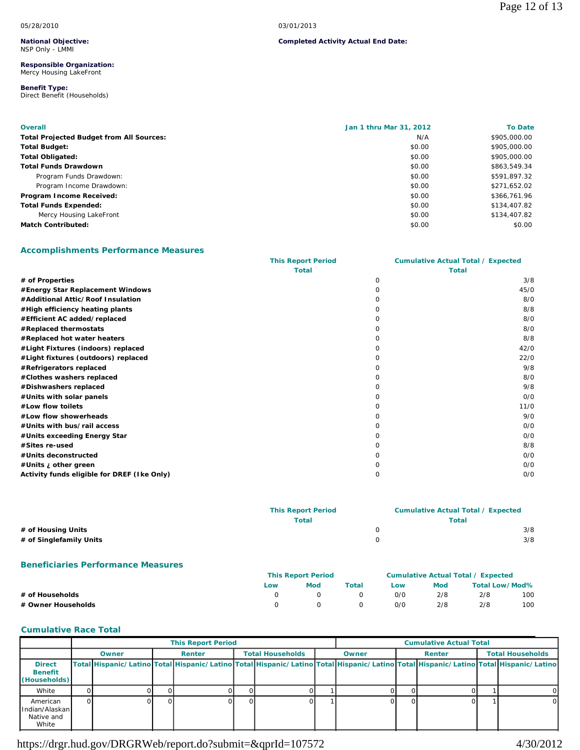**Completed Activity Actual End Date:**

#### **National Objective:** NSP Only - LMMI

#### **Responsible Organization:** Mercy Housing LakeFront

#### **Benefit Type:**  Direct Benefit (Households)

| <b>Overall</b>                                  | Jan 1 thru Mar 31, 2012 | <b>To Date</b> |
|-------------------------------------------------|-------------------------|----------------|
| <b>Total Projected Budget from All Sources:</b> | N/A                     | \$905,000.00   |
| <b>Total Budget:</b>                            | \$0.00                  | \$905,000.00   |
| <b>Total Obligated:</b>                         | \$0.00                  | \$905,000.00   |
| <b>Total Funds Drawdown</b>                     | \$0.00                  | \$863,549.34   |
| Program Funds Drawdown:                         | \$0.00                  | \$591,897.32   |
| Program Income Drawdown:                        | \$0.00                  | \$271,652.02   |
| Program Income Received:                        | \$0.00                  | \$366,761.96   |
| <b>Total Funds Expended:</b>                    | \$0.00                  | \$134,407.82   |
| Mercy Housing LakeFront                         | \$0.00                  | \$134,407.82   |
| <b>Match Contributed:</b>                       | \$0.00                  | \$0.00         |

## **Accomplishments Performance Measures**

|                                             | <b>This Report Period</b> |          | <b>Cumulative Actual Total / Expected</b> |
|---------------------------------------------|---------------------------|----------|-------------------------------------------|
|                                             | <b>Total</b>              |          | <b>Total</b>                              |
| # of Properties                             |                           | $\Omega$ | 3/8                                       |
| #Energy Star Replacement Windows            |                           | O        | 45/0                                      |
| #Additional Attic/Roof Insulation           |                           |          | 8/0                                       |
| #High efficiency heating plants             |                           |          | 8/8                                       |
| #Efficient AC added/replaced                |                           |          | 8/0                                       |
| #Replaced thermostats                       |                           |          | 8/0                                       |
| #Replaced hot water heaters                 |                           |          | 8/8                                       |
| #Light Fixtures (indoors) replaced          |                           |          | 42/0                                      |
| #Light fixtures (outdoors) replaced         |                           |          | 22/0                                      |
| #Refrigerators replaced                     |                           | O        | 9/8                                       |
| #Clothes washers replaced                   |                           |          | 8/0                                       |
| #Dishwashers replaced                       |                           |          | 9/8                                       |
| #Units with solar panels                    |                           |          | O/O                                       |
| #Low flow toilets                           |                           |          | 11/0                                      |
| #Low flow showerheads                       |                           |          | 9/0                                       |
| #Units with bus/rail access                 |                           |          | O/O                                       |
| #Units exceeding Energy Star                |                           |          | 0/0                                       |
| #Sites re-used                              |                           | O        | 8/8                                       |
| #Units deconstructed                        |                           |          | O/O                                       |
| #Units ¿ other green                        |                           |          | O/O                                       |
| Activity funds eligible for DREF (Ike Only) |                           | $\Omega$ | 0/0                                       |

|                         | <b>This Report Period</b> | <b>Cumulative Actual Total / Expected</b> |     |  |  |
|-------------------------|---------------------------|-------------------------------------------|-----|--|--|
|                         | <b>Total</b>              | Total                                     |     |  |  |
| # of Housing Units      |                           |                                           | 3/8 |  |  |
| # of Singlefamily Units |                           |                                           | 3/8 |  |  |
|                         |                           |                                           |     |  |  |

## **Beneficiaries Performance Measures**

|                    | <b>This Report Period</b>  |   |            | <b>Cumulative Actual Total / Expected</b> |     |     |     |
|--------------------|----------------------------|---|------------|-------------------------------------------|-----|-----|-----|
|                    | Total<br>Mod<br>Low<br>Low |   | <b>Mod</b> | <b>Total Low/Mod%</b>                     |     |     |     |
| # of Households    |                            | റ |            | 0/0                                       | 2/8 | 2/8 | 100 |
| # Owner Households | 0/0<br>$\Omega$<br>- 0     |   |            |                                           | 2/8 | 2/8 | 100 |

## **Cumulative Race Total**

|                                                    |                                                                                                                                     | <b>This Report Period</b> |  |                         |  | <b>Cumulative Actual Total</b> |        |  |                         |          |
|----------------------------------------------------|-------------------------------------------------------------------------------------------------------------------------------------|---------------------------|--|-------------------------|--|--------------------------------|--------|--|-------------------------|----------|
|                                                    | Owner                                                                                                                               | Renter                    |  | <b>Total Households</b> |  | Owner                          | Renter |  | <b>Total Households</b> |          |
| <b>Direct</b><br><b>Benefit</b><br>(Households)    | Total Hispanic/Latino Total Hispanic/Latino Total Hispanic/Latino Total Hispanic/Latino Total Hispanic/Latino Total Hispanic/Latino |                           |  |                         |  |                                |        |  |                         |          |
| White                                              |                                                                                                                                     |                           |  |                         |  |                                |        |  |                         |          |
| American<br>Hndian/Alaskanl<br>Native and<br>White |                                                                                                                                     |                           |  |                         |  |                                |        |  |                         | $\Omega$ |